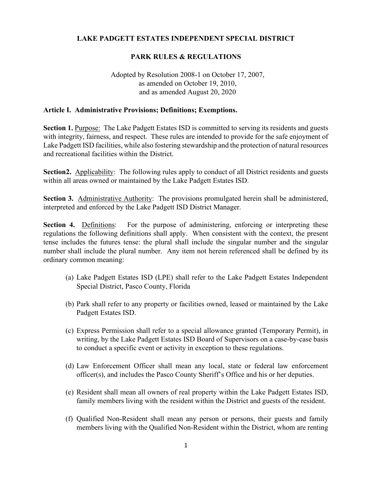# **LAKE PADGETT ESTATES INDEPENDENT SPECIAL DISTRICT**

# **PARK RULES & REGULATIONS**

# Adopted by Resolution 2008-1 on October 17, 2007, as amended on October 19, 2010, and as amended August 20, 2020

#### **Article I. Administrative Provisions; Definitions; Exemptions.**

**Section 1.** Purpose: The Lake Padgett Estates ISD is committed to serving its residents and guests with integrity, fairness, and respect. These rules are intended to provide for the safe enjoyment of Lake Padgett ISD facilities, while also fostering stewardship and the protection of natural resources and recreational facilities within the District.

**Section2.** Applicability: The following rules apply to conduct of all District residents and guests within all areas owned or maintained by the Lake Padgett Estates ISD.

Section 3. Administrative Authority: The provisions promulgated herein shall be administered, interpreted and enforced by the Lake Padgett ISD District Manager.

**Section 4.** Definitions: For the purpose of administering, enforcing or interpreting these regulations the following definitions shall apply. When consistent with the context, the present tense includes the futures tense: the plural shall include the singular number and the singular number shall include the plural number. Any item not herein referenced shall be defined by its ordinary common meaning:

- (a) Lake Padgett Estates ISD (LPE) shall refer to the Lake Padgett Estates Independent Special District, Pasco County, Florida
- (b) Park shall refer to any property or facilities owned, leased or maintained by the Lake Padgett Estates ISD.
- (c) Express Permission shall refer to a special allowance granted (Temporary Permit), in writing, by the Lake Padgett Estates ISD Board of Supervisors on a case-by-case basis to conduct a specific event or activity in exception to these regulations.
- (d) Law Enforcement Officer shall mean any local, state or federal law enforcement officer(s), and includes the Pasco County Sheriff's Office and his or her deputies.
- (e) Resident shall mean all owners of real property within the Lake Padgett Estates ISD, family members living with the resident within the District and guests of the resident.
- (f) Qualified Non-Resident shall mean any person or persons, their guests and family members living with the Qualified Non-Resident within the District, whom are renting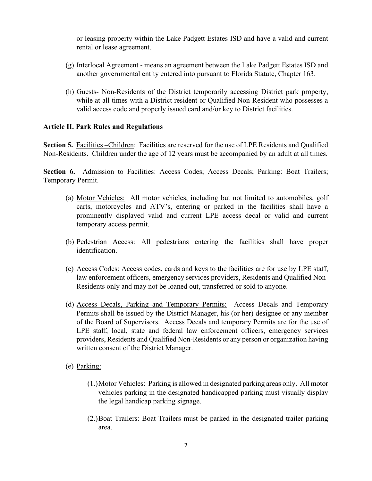or leasing property within the Lake Padgett Estates ISD and have a valid and current rental or lease agreement.

- (g) Interlocal Agreement means an agreement between the Lake Padgett Estates ISD and another governmental entity entered into pursuant to Florida Statute, Chapter 163.
- (h) Guests- Non-Residents of the District temporarily accessing District park property, while at all times with a District resident or Qualified Non-Resident who possesses a valid access code and properly issued card and/or key to District facilities.

### **Article II. Park Rules and Regulations**

**Section 5.** Facilities –Children: Facilities are reserved for the use of LPE Residents and Qualified Non-Residents. Children under the age of 12 years must be accompanied by an adult at all times.

**Section 6.** Admission to Facilities: Access Codes; Access Decals; Parking: Boat Trailers; Temporary Permit.

- (a) Motor Vehicles: All motor vehicles, including but not limited to automobiles, golf carts, motorcycles and ATV's, entering or parked in the facilities shall have a prominently displayed valid and current LPE access decal or valid and current temporary access permit.
- (b) Pedestrian Access: All pedestrians entering the facilities shall have proper identification.
- (c) Access Codes: Access codes, cards and keys to the facilities are for use by LPE staff, law enforcement officers, emergency services providers, Residents and Qualified Non-Residents only and may not be loaned out, transferred or sold to anyone.
- (d) Access Decals, Parking and Temporary Permits: Access Decals and Temporary Permits shall be issued by the District Manager, his (or her) designee or any member of the Board of Supervisors. Access Decals and temporary Permits are for the use of LPE staff, local, state and federal law enforcement officers, emergency services providers, Residents and Qualified Non-Residents or any person or organization having written consent of the District Manager.
- (e) Parking:
	- (1.)Motor Vehicles: Parking is allowed in designated parking areas only. All motor vehicles parking in the designated handicapped parking must visually display the legal handicap parking signage.
	- (2.)Boat Trailers: Boat Trailers must be parked in the designated trailer parking area.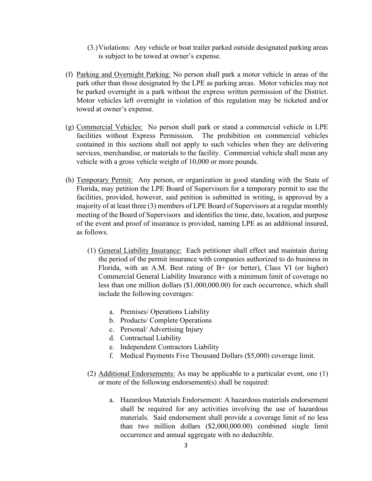- (3.)Violations: Any vehicle or boat trailer parked outside designated parking areas is subject to be towed at owner's expense.
- (f) Parking and Overnight Parking: No person shall park a motor vehicle in areas of the park other than those designated by the LPE as parking areas. Motor vehicles may not be parked overnight in a park without the express written permission of the District. Motor vehicles left overnight in violation of this regulation may be ticketed and/or towed at owner's expense.
- (g) Commercial Vehicles: No person shall park or stand a commercial vehicle in LPE facilities without Express Permission. The prohibition on commercial vehicles contained in this sections shall not apply to such vehicles when they are delivering services, merchandise, or materials to the facility. Commercial vehicle shall mean any vehicle with a gross vehicle weight of 10,000 or more pounds.
- (h) Temporary Permit: Any person, or organization in good standing with the State of Florida, may petition the LPE Board of Supervisors for a temporary permit to use the facilities, provided, however, said petition is submitted in writing, is approved by a majority of at least three (3) members of LPE Board of Supervisors at a regular monthly meeting of the Board of Supervisors and identifies the time, date, location, and purpose of the event and proof of insurance is provided, naming LPE as an additional insured, as follows.
	- (1) General Liability Insurance: Each petitioner shall effect and maintain during the period of the permit insurance with companies authorized to do business in Florida, with an A.M. Best rating of B+ (or better), Class VI (or higher) Commercial General Liability Insurance with a minimum limit of coverage no less than one million dollars (\$1,000,000.00) for each occurrence, which shall include the following coverages:
		- a. Premises/ Operations Liability
		- b. Products/ Complete Operations
		- c. Personal/ Advertising Injury
		- d. Contractual Liability
		- e. Independent Contractors Liability
		- f. Medical Payments Five Thousand Dollars (\$5,000) coverage limit.
	- (2) Additional Endorsements: As may be applicable to a particular event, one (1) or more of the following endorsement(s) shall be required:
		- a. Hazardous Materials Endorsement: A hazardous materials endorsement shall be required for any activities involving the use of hazardous materials. Said endorsement shall provide a coverage limit of no less than two million dollars (\$2,000,000.00) combined single limit occurrence and annual aggregate with no deductible.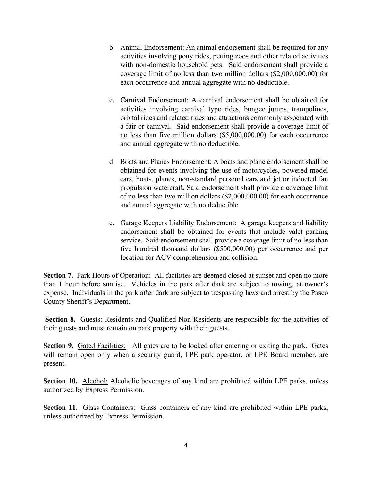- b. Animal Endorsement: An animal endorsement shall be required for any activities involving pony rides, petting zoos and other related activities with non-domestic household pets. Said endorsement shall provide a coverage limit of no less than two million dollars (\$2,000,000.00) for each occurrence and annual aggregate with no deductible.
- c. Carnival Endorsement: A carnival endorsement shall be obtained for activities involving carnival type rides, bungee jumps, trampolines, orbital rides and related rides and attractions commonly associated with a fair or carnival. Said endorsement shall provide a coverage limit of no less than five million dollars (\$5,000,000.00) for each occurrence and annual aggregate with no deductible.
- d. Boats and Planes Endorsement: A boats and plane endorsement shall be obtained for events involving the use of motorcycles, powered model cars, boats, planes, non-standard personal cars and jet or inducted fan propulsion watercraft. Said endorsement shall provide a coverage limit of no less than two million dollars (\$2,000,000.00) for each occurrence and annual aggregate with no deductible.
- e. Garage Keepers Liability Endorsement: A garage keepers and liability endorsement shall be obtained for events that include valet parking service. Said endorsement shall provide a coverage limit of no less than five hundred thousand dollars (\$500,000.00) per occurrence and per location for ACV comprehension and collision.

**Section 7.** Park Hours of Operation: All facilities are deemed closed at sunset and open no more than 1 hour before sunrise. Vehicles in the park after dark are subject to towing, at owner's expense. Individuals in the park after dark are subject to trespassing laws and arrest by the Pasco County Sheriff's Department.

**Section 8.** Guests: Residents and Qualified Non-Residents are responsible for the activities of their guests and must remain on park property with their guests.

**Section 9.** Gated Facilities: All gates are to be locked after entering or exiting the park. Gates will remain open only when a security guard, LPE park operator, or LPE Board member, are present.

**Section 10.** Alcohol: Alcoholic beverages of any kind are prohibited within LPE parks, unless authorized by Express Permission.

**Section 11.** Glass Containers: Glass containers of any kind are prohibited within LPE parks, unless authorized by Express Permission.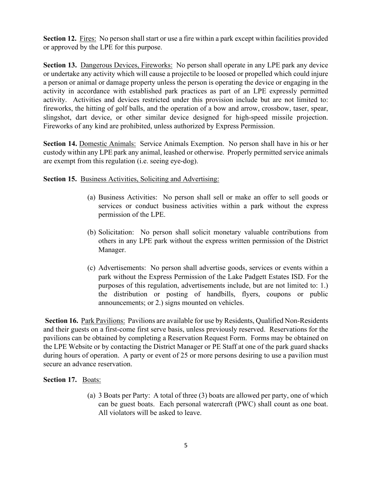**Section 12.** Fires: No person shall start or use a fire within a park except within facilities provided or approved by the LPE for this purpose.

**Section 13.** Dangerous Devices, Fireworks: No person shall operate in any LPE park any device or undertake any activity which will cause a projectile to be loosed or propelled which could injure a person or animal or damage property unless the person is operating the device or engaging in the activity in accordance with established park practices as part of an LPE expressly permitted activity. Activities and devices restricted under this provision include but are not limited to: fireworks, the hitting of golf balls, and the operation of a bow and arrow, crossbow, taser, spear, slingshot, dart device, or other similar device designed for high-speed missile projection. Fireworks of any kind are prohibited, unless authorized by Express Permission.

**Section 14.** Domestic Animals: Service Animals Exemption. No person shall have in his or her custody within any LPE park any animal, leashed or otherwise. Properly permitted service animals are exempt from this regulation (i.e. seeing eye-dog).

## **Section 15.** Business Activities, Soliciting and Advertising:

- (a) Business Activities: No person shall sell or make an offer to sell goods or services or conduct business activities within a park without the express permission of the LPE.
- (b) Solicitation: No person shall solicit monetary valuable contributions from others in any LPE park without the express written permission of the District Manager.
- (c) Advertisements: No person shall advertise goods, services or events within a park without the Express Permission of the Lake Padgett Estates ISD. For the purposes of this regulation, advertisements include, but are not limited to: 1.) the distribution or posting of handbills, flyers, coupons or public announcements; or 2.) signs mounted on vehicles.

Section 16. Park Pavilions: Pavilions are available for use by Residents, Qualified Non-Residents and their guests on a first-come first serve basis, unless previously reserved. Reservations for the pavilions can be obtained by completing a Reservation Request Form. Forms may be obtained on the LPE Website or by contacting the District Manager or PE Staff at one of the park guard shacks during hours of operation. A party or event of 25 or more persons desiring to use a pavilion must secure an advance reservation.

### **Section 17.** Boats:

(a) 3 Boats per Party: A total of three (3) boats are allowed per party, one of which can be guest boats. Each personal watercraft (PWC) shall count as one boat. All violators will be asked to leave.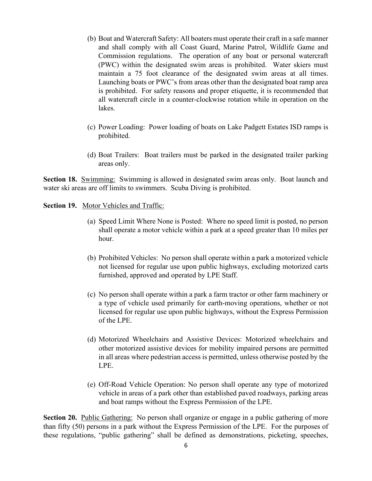- (b) Boat and Watercraft Safety: All boaters must operate their craft in a safe manner and shall comply with all Coast Guard, Marine Patrol, Wildlife Game and Commission regulations. The operation of any boat or personal watercraft (PWC) within the designated swim areas is prohibited. Water skiers must maintain a 75 foot clearance of the designated swim areas at all times. Launching boats or PWC's from areas other than the designated boat ramp area is prohibited. For safety reasons and proper etiquette, it is recommended that all watercraft circle in a counter-clockwise rotation while in operation on the lakes.
- (c) Power Loading: Power loading of boats on Lake Padgett Estates ISD ramps is prohibited.
- (d) Boat Trailers: Boat trailers must be parked in the designated trailer parking areas only.

**Section 18.** Swimming: Swimming is allowed in designated swim areas only. Boat launch and water ski areas are off limits to swimmers. Scuba Diving is prohibited.

**Section 19.** Motor Vehicles and Traffic:

- (a) Speed Limit Where None is Posted: Where no speed limit is posted, no person shall operate a motor vehicle within a park at a speed greater than 10 miles per hour.
- (b) Prohibited Vehicles: No person shall operate within a park a motorized vehicle not licensed for regular use upon public highways, excluding motorized carts furnished, approved and operated by LPE Staff.
- (c) No person shall operate within a park a farm tractor or other farm machinery or a type of vehicle used primarily for earth-moving operations, whether or not licensed for regular use upon public highways, without the Express Permission of the LPE.
- (d) Motorized Wheelchairs and Assistive Devices: Motorized wheelchairs and other motorized assistive devices for mobility impaired persons are permitted in all areas where pedestrian access is permitted, unless otherwise posted by the LPE.
- (e) Off-Road Vehicle Operation: No person shall operate any type of motorized vehicle in areas of a park other than established paved roadways, parking areas and boat ramps without the Express Permission of the LPE.

**Section 20.** Public Gathering: No person shall organize or engage in a public gathering of more than fifty (50) persons in a park without the Express Permission of the LPE. For the purposes of these regulations, "public gathering" shall be defined as demonstrations, picketing, speeches,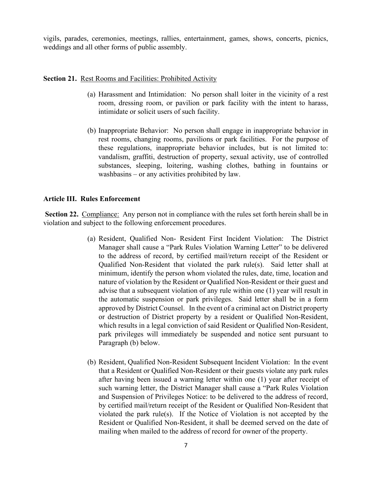vigils, parades, ceremonies, meetings, rallies, entertainment, games, shows, concerts, picnics, weddings and all other forms of public assembly.

#### **Section 21. Rest Rooms and Facilities: Prohibited Activity**

- (a) Harassment and Intimidation: No person shall loiter in the vicinity of a rest room, dressing room, or pavilion or park facility with the intent to harass, intimidate or solicit users of such facility.
- (b) Inappropriate Behavior: No person shall engage in inappropriate behavior in rest rooms, changing rooms, pavilions or park facilities. For the purpose of these regulations, inappropriate behavior includes, but is not limited to: vandalism, graffiti, destruction of property, sexual activity, use of controlled substances, sleeping, loitering, washing clothes, bathing in fountains or washbasins – or any activities prohibited by law.

### **Article III. Rules Enforcement**

**Section 22.** Compliance: Any person not in compliance with the rules set forth herein shall be in violation and subject to the following enforcement procedures.

- (a) Resident, Qualified Non- Resident First Incident Violation: The District Manager shall cause a "Park Rules Violation Warning Letter" to be delivered to the address of record, by certified mail/return receipt of the Resident or Qualified Non-Resident that violated the park rule(s). Said letter shall at minimum, identify the person whom violated the rules, date, time, location and nature of violation by the Resident or Qualified Non-Resident or their guest and advise that a subsequent violation of any rule within one (1) year will result in the automatic suspension or park privileges. Said letter shall be in a form approved by District Counsel. In the event of a criminal act on District property or destruction of District property by a resident or Qualified Non-Resident, which results in a legal conviction of said Resident or Qualified Non-Resident, park privileges will immediately be suspended and notice sent pursuant to Paragraph (b) below.
- (b) Resident, Qualified Non-Resident Subsequent Incident Violation: In the event that a Resident or Qualified Non-Resident or their guests violate any park rules after having been issued a warning letter within one (1) year after receipt of such warning letter, the District Manager shall cause a "Park Rules Violation and Suspension of Privileges Notice: to be delivered to the address of record, by certified mail/return receipt of the Resident or Qualified Non-Resident that violated the park rule(s). If the Notice of Violation is not accepted by the Resident or Qualified Non-Resident, it shall be deemed served on the date of mailing when mailed to the address of record for owner of the property.